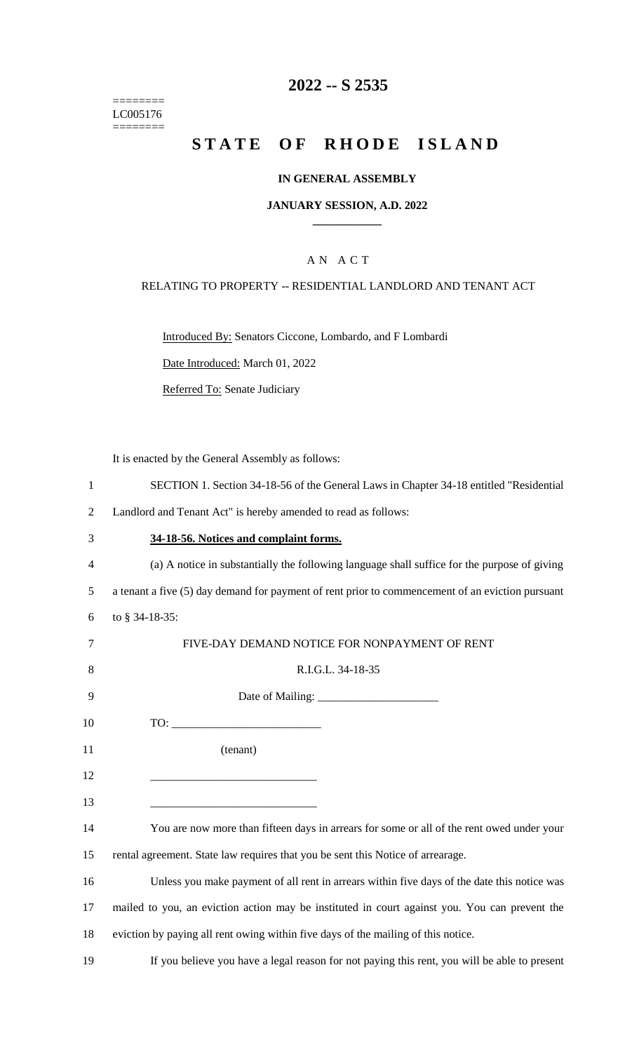======== LC005176  $=$ 

# **2022 -- S 2535**

# **STATE OF RHODE ISLAND**

#### **IN GENERAL ASSEMBLY**

#### **JANUARY SESSION, A.D. 2022 \_\_\_\_\_\_\_\_\_\_\_\_**

### A N A C T

#### RELATING TO PROPERTY -- RESIDENTIAL LANDLORD AND TENANT ACT

Introduced By: Senators Ciccone, Lombardo, and F Lombardi

Date Introduced: March 01, 2022

Referred To: Senate Judiciary

It is enacted by the General Assembly as follows:

| SECTION 1. Section 34-18-56 of the General Laws in Chapter 34-18 entitled "Residential" |  |  |  |  |  |  |  |  |  |  |
|-----------------------------------------------------------------------------------------|--|--|--|--|--|--|--|--|--|--|
|-----------------------------------------------------------------------------------------|--|--|--|--|--|--|--|--|--|--|

2 Landlord and Tenant Act" is hereby amended to read as follows:

| 34-18-56. Notices and complaint forms. |
|----------------------------------------|
|                                        |

4 (a) A notice in substantially the following language shall suffice for the purpose of giving 5 a tenant a five (5) day demand for payment of rent prior to commencement of an eviction pursuant 6 to § 34-18-35:

| 7  | FIVE-DAY DEMAND NOTICE FOR NONPAYMENT OF RENT                                                 |
|----|-----------------------------------------------------------------------------------------------|
| 8  | R.I.G.L. 34-18-35                                                                             |
| 9  |                                                                                               |
| 10 |                                                                                               |
| 11 | (tenant)                                                                                      |
| 12 |                                                                                               |
| 13 |                                                                                               |
| 14 | You are now more than fifteen days in arrears for some or all of the rent owed under your     |
| 15 | rental agreement. State law requires that you be sent this Notice of arrearage.               |
| 16 | Unless you make payment of all rent in arrears within five days of the date this notice was   |
| 17 | mailed to you, an eviction action may be instituted in court against you. You can prevent the |
| 18 | eviction by paying all rent owing within five days of the mailing of this notice.             |

19 If you believe you have a legal reason for not paying this rent, you will be able to present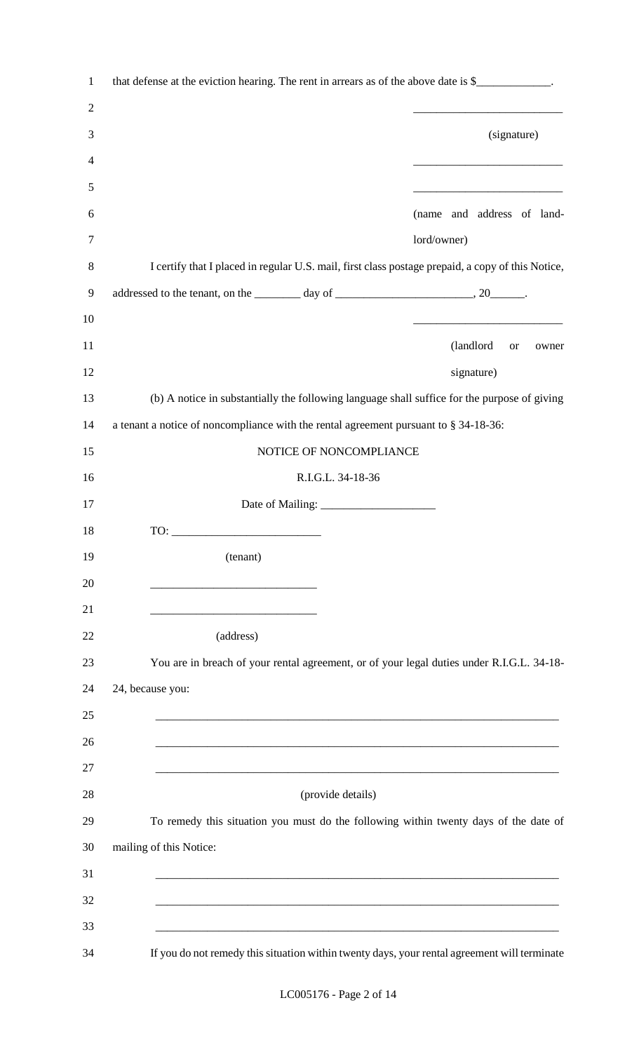| $\mathbf{1}$   | that defense at the eviction hearing. The rent in arrears as of the above date is \$                                  |                                                                                                                       |                    |
|----------------|-----------------------------------------------------------------------------------------------------------------------|-----------------------------------------------------------------------------------------------------------------------|--------------------|
| $\overline{2}$ |                                                                                                                       | the control of the control of the control of the control of the control of the control of                             |                    |
| 3              |                                                                                                                       | (signature)                                                                                                           |                    |
| 4              |                                                                                                                       |                                                                                                                       |                    |
| 5              |                                                                                                                       | <u> 1989 - Johann Harry Harry Harry Harry Harry Harry Harry Harry Harry Harry Harry Harry Harry Harry Harry Harry</u> |                    |
| 6              | (name and address of land-                                                                                            |                                                                                                                       |                    |
| $\tau$         | lord/owner)                                                                                                           |                                                                                                                       |                    |
| 8              | I certify that I placed in regular U.S. mail, first class postage prepaid, a copy of this Notice,                     |                                                                                                                       |                    |
| 9              |                                                                                                                       |                                                                                                                       |                    |
| 10             |                                                                                                                       |                                                                                                                       |                    |
| 11             |                                                                                                                       | (landlord                                                                                                             | <b>or</b><br>owner |
| 12             |                                                                                                                       | signature)                                                                                                            |                    |
| 13             | (b) A notice in substantially the following language shall suffice for the purpose of giving                          |                                                                                                                       |                    |
| 14             | a tenant a notice of noncompliance with the rental agreement pursuant to § 34-18-36:                                  |                                                                                                                       |                    |
| 15             | NOTICE OF NONCOMPLIANCE                                                                                               |                                                                                                                       |                    |
| 16             | R.I.G.L. 34-18-36                                                                                                     |                                                                                                                       |                    |
| 17             |                                                                                                                       |                                                                                                                       |                    |
| 18             |                                                                                                                       |                                                                                                                       |                    |
| 19             | (tenant)                                                                                                              |                                                                                                                       |                    |
| 20             | <u> 1989 - Johann John Stone, mars eta biztanleria (</u>                                                              |                                                                                                                       |                    |
| 21             |                                                                                                                       |                                                                                                                       |                    |
| 22             | (address)                                                                                                             |                                                                                                                       |                    |
| 23             | You are in breach of your rental agreement, or of your legal duties under R.I.G.L. 34-18-                             |                                                                                                                       |                    |
| 24             | 24, because you:                                                                                                      |                                                                                                                       |                    |
| 25             |                                                                                                                       |                                                                                                                       |                    |
| 26             |                                                                                                                       |                                                                                                                       |                    |
| 27             |                                                                                                                       |                                                                                                                       |                    |
| 28             | (provide details)                                                                                                     |                                                                                                                       |                    |
| 29             | To remedy this situation you must do the following within twenty days of the date of                                  |                                                                                                                       |                    |
| 30             | mailing of this Notice:                                                                                               |                                                                                                                       |                    |
| 31             |                                                                                                                       |                                                                                                                       |                    |
| 32             |                                                                                                                       |                                                                                                                       |                    |
| 33             | <u> 1989 - Johann Stoff, deutscher Stoff, der Stoff, der Stoff, der Stoff, der Stoff, der Stoff, der Stoff, der S</u> |                                                                                                                       |                    |
| 34             | If you do not remedy this situation within twenty days, your rental agreement will terminate                          |                                                                                                                       |                    |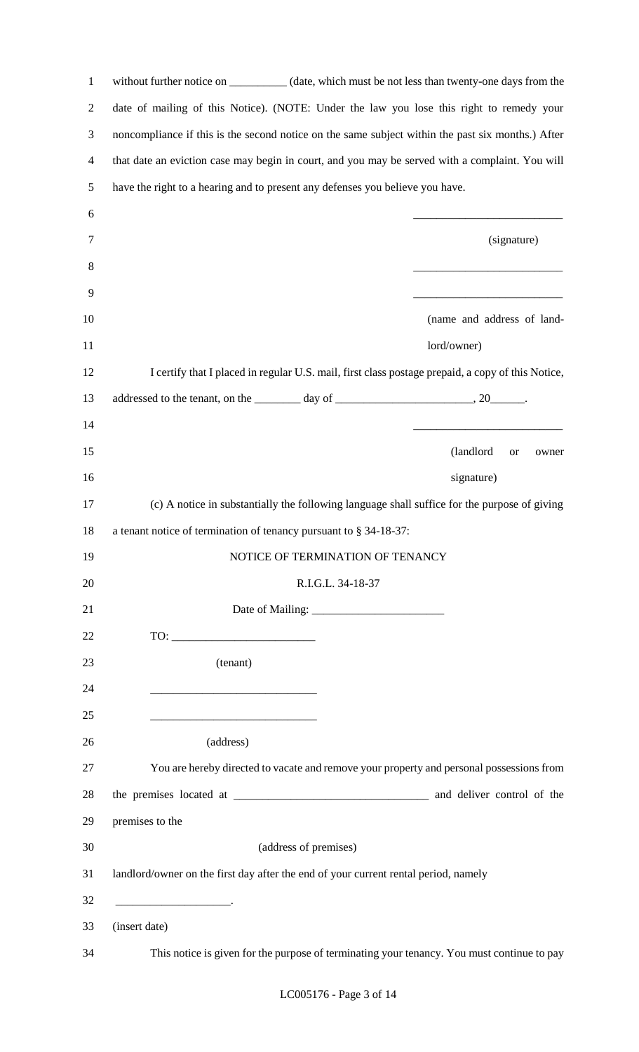| $\mathbf{1}$   |                                                                   | without further notice on __________ (date, which must be not less than twenty-one days from the  |
|----------------|-------------------------------------------------------------------|---------------------------------------------------------------------------------------------------|
| $\overline{c}$ |                                                                   | date of mailing of this Notice). (NOTE: Under the law you lose this right to remedy your          |
| 3              |                                                                   | noncompliance if this is the second notice on the same subject within the past six months.) After |
| 4              |                                                                   | that date an eviction case may begin in court, and you may be served with a complaint. You will   |
| 5              |                                                                   | have the right to a hearing and to present any defenses you believe you have.                     |
| 6              |                                                                   |                                                                                                   |
| $\tau$         |                                                                   | (signature)                                                                                       |
| 8              |                                                                   |                                                                                                   |
| 9              |                                                                   |                                                                                                   |
| 10             |                                                                   | (name and address of land-                                                                        |
| 11             |                                                                   | lord/owner)                                                                                       |
| 12             |                                                                   | I certify that I placed in regular U.S. mail, first class postage prepaid, a copy of this Notice, |
| 13             |                                                                   |                                                                                                   |
| 14             |                                                                   |                                                                                                   |
| 15             |                                                                   | (landlord)<br><b>or</b><br>owner                                                                  |
| 16             |                                                                   | signature)                                                                                        |
| 17             |                                                                   | (c) A notice in substantially the following language shall suffice for the purpose of giving      |
| 18             | a tenant notice of termination of tenancy pursuant to § 34-18-37: |                                                                                                   |
| 19             |                                                                   | NOTICE OF TERMINATION OF TENANCY                                                                  |
| 20             |                                                                   | R.I.G.L. 34-18-37                                                                                 |
| 21             |                                                                   |                                                                                                   |
| 22             |                                                                   |                                                                                                   |
| 23             | (tenant)                                                          |                                                                                                   |
| 24             |                                                                   |                                                                                                   |
| 25             |                                                                   |                                                                                                   |
| 26             | (address)                                                         |                                                                                                   |
| 27             |                                                                   | You are hereby directed to vacate and remove your property and personal possessions from          |
| 28             |                                                                   |                                                                                                   |
| 29             | premises to the                                                   |                                                                                                   |
| 30             |                                                                   | (address of premises)                                                                             |
| 31             |                                                                   | landlord/owner on the first day after the end of your current rental period, namely               |
| 32             |                                                                   |                                                                                                   |
| 33             | (insert date)                                                     |                                                                                                   |
| 34             |                                                                   | This notice is given for the purpose of terminating your tenancy. You must continue to pay        |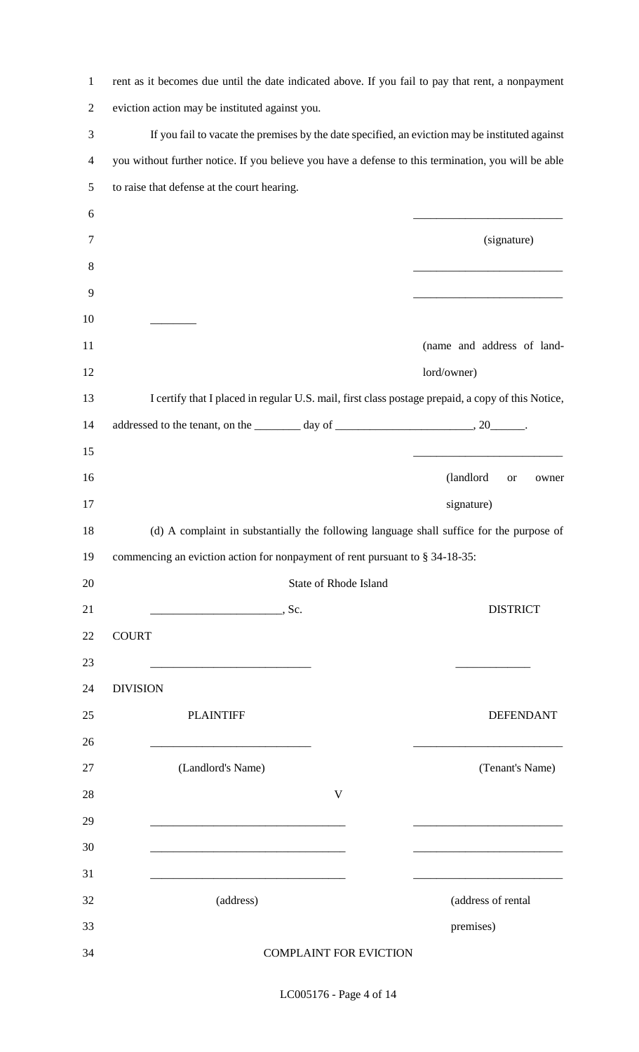| $\mathbf{1}$   | rent as it becomes due until the date indicated above. If you fail to pay that rent, a nonpayment                     |                                 |
|----------------|-----------------------------------------------------------------------------------------------------------------------|---------------------------------|
| $\overline{2}$ | eviction action may be instituted against you.                                                                        |                                 |
| 3              | If you fail to vacate the premises by the date specified, an eviction may be instituted against                       |                                 |
| 4              | you without further notice. If you believe you have a defense to this termination, you will be able                   |                                 |
| 5              | to raise that defense at the court hearing.                                                                           |                                 |
| 6              |                                                                                                                       |                                 |
| 7              |                                                                                                                       | (signature)                     |
| 8              |                                                                                                                       |                                 |
| 9              |                                                                                                                       |                                 |
| 10             |                                                                                                                       |                                 |
| 11             |                                                                                                                       | (name and address of land-      |
| 12             |                                                                                                                       | lord/owner)                     |
| 13             | I certify that I placed in regular U.S. mail, first class postage prepaid, a copy of this Notice,                     |                                 |
| 14             | addressed to the tenant, on the $\_\_\_\_$ day of $\_\_\_\_\_\_\_$ . 20 $\_\_\_\_\_$ .                                |                                 |
| 15             |                                                                                                                       |                                 |
| 16             |                                                                                                                       | (landlord<br><b>or</b><br>owner |
| 17             |                                                                                                                       | signature)                      |
| 18             | (d) A complaint in substantially the following language shall suffice for the purpose of                              |                                 |
| 19             | commencing an eviction action for nonpayment of rent pursuant to § 34-18-35:                                          |                                 |
| 20             | <b>State of Rhode Island</b>                                                                                          |                                 |
|                |                                                                                                                       |                                 |
| 21             | $\overline{\phantom{a}}$ , Sc.                                                                                        | <b>DISTRICT</b>                 |
| 22             | <b>COURT</b>                                                                                                          |                                 |
| 23             |                                                                                                                       |                                 |
| 24             | <b>DIVISION</b>                                                                                                       |                                 |
| 25             | <b>PLAINTIFF</b>                                                                                                      | <b>DEFENDANT</b>                |
| 26             | <u> 1989 - Johann John Stone, mars eta biztanleria (</u>                                                              |                                 |
| 27             | (Landlord's Name)                                                                                                     | (Tenant's Name)                 |
| 28             | V                                                                                                                     |                                 |
| 29             |                                                                                                                       |                                 |
| 30             |                                                                                                                       |                                 |
| 31             | <u> 1989 - Johann Barbara, martin amerikan basar dan berasal dan berasal dari berasal dalam basar dalam berasal d</u> |                                 |
| 32             | (address)                                                                                                             | (address of rental              |
| 33<br>34       | <b>COMPLAINT FOR EVICTION</b>                                                                                         | premises)                       |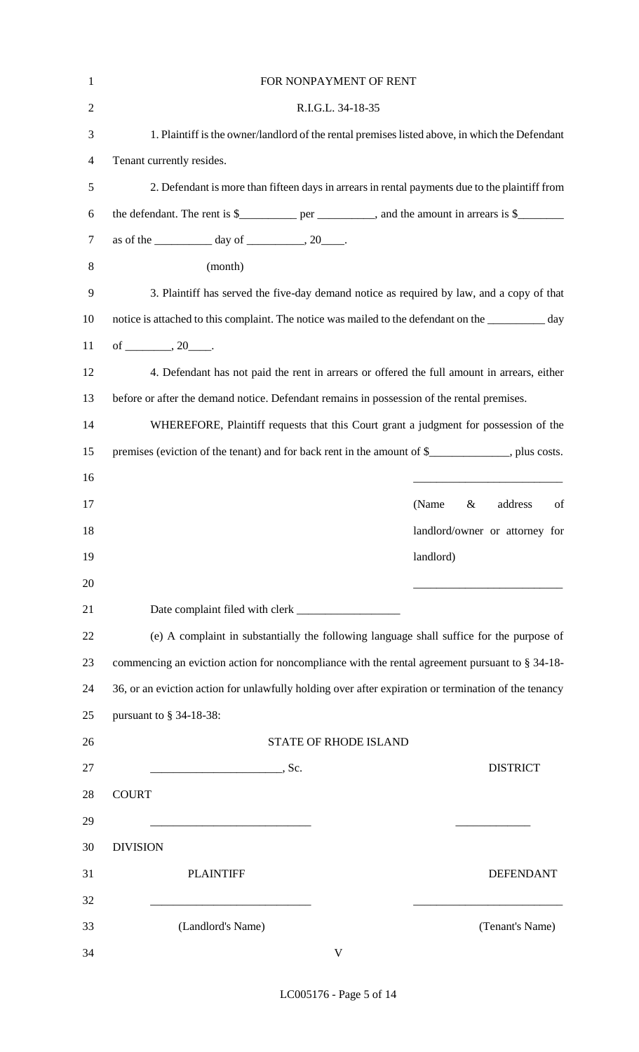| $\mathbf{1}$   | FOR NONPAYMENT OF RENT                                                                               |
|----------------|------------------------------------------------------------------------------------------------------|
| $\overline{2}$ | R.I.G.L. 34-18-35                                                                                    |
| 3              | 1. Plaintiff is the owner/landlord of the rental premises listed above, in which the Defendant       |
| $\overline{4}$ | Tenant currently resides.                                                                            |
| 5              | 2. Defendant is more than fifteen days in arrears in rental payments due to the plaintiff from       |
| 6              | the defendant. The rent is $\frac{1}{2}$ per _______, and the amount in arrears is $\frac{1}{2}$     |
| $\tau$         | as of the $\_\_\_\_\_\$ day of $\_\_\_\_\_\$ , 20 $\_\_\_\_\$ .                                      |
| 8              | (month)                                                                                              |
| 9              | 3. Plaintiff has served the five-day demand notice as required by law, and a copy of that            |
| 10             | notice is attached to this complaint. The notice was mailed to the defendant on the ____________ day |
| 11             | of _________, $20$ _____.                                                                            |
| 12             | 4. Defendant has not paid the rent in arrears or offered the full amount in arrears, either          |
| 13             | before or after the demand notice. Defendant remains in possession of the rental premises.           |
| 14             | WHEREFORE, Plaintiff requests that this Court grant a judgment for possession of the                 |
| 15             | premises (eviction of the tenant) and for back rent in the amount of \$____________, plus costs.     |
| 16             |                                                                                                      |
| 17             | (Name<br>address<br>$\&$<br>of                                                                       |
| 18             | landlord/owner or attorney for                                                                       |
| 19             | landlord)                                                                                            |
| 20             |                                                                                                      |
| 21             |                                                                                                      |
| 22             | (e) A complaint in substantially the following language shall suffice for the purpose of             |
| 23             | commencing an eviction action for noncompliance with the rental agreement pursuant to § 34-18-       |
| 24             | 36, or an eviction action for unlawfully holding over after expiration or termination of the tenancy |
| 25             | pursuant to $\S$ 34-18-38:                                                                           |
| 26             | <b>STATE OF RHODE ISLAND</b>                                                                         |
| 27             | <b>DISTRICT</b><br>$\overline{\phantom{a}}$ , Sc.                                                    |
| 28             | <b>COURT</b>                                                                                         |
| 29             | <u> 1990 - Johann Barbara, martin eta politikar</u>                                                  |
| 30             | <b>DIVISION</b>                                                                                      |
| 31             | <b>PLAINTIFF</b><br><b>DEFENDANT</b>                                                                 |
| 32             |                                                                                                      |
| 33             | (Landlord's Name)<br>(Tenant's Name)                                                                 |
| 34             | $\mathbf{V}$                                                                                         |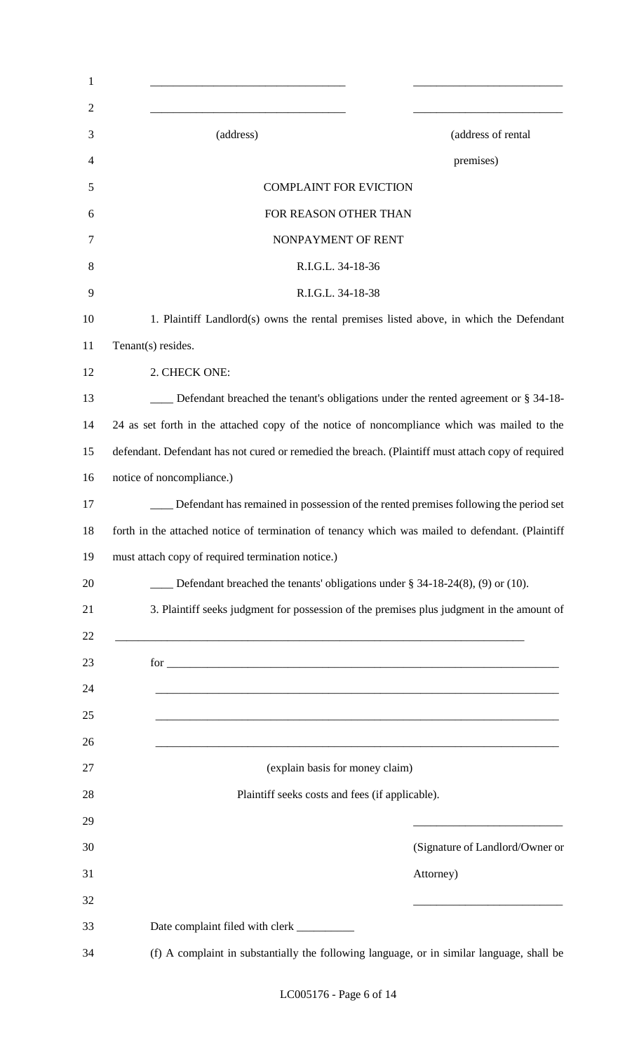| (address)                                                                                                            | (address of rental              |
|----------------------------------------------------------------------------------------------------------------------|---------------------------------|
|                                                                                                                      | premises)                       |
| <b>COMPLAINT FOR EVICTION</b>                                                                                        |                                 |
| FOR REASON OTHER THAN                                                                                                |                                 |
| NONPAYMENT OF RENT                                                                                                   |                                 |
| R.I.G.L. 34-18-36                                                                                                    |                                 |
| R.I.G.L. 34-18-38                                                                                                    |                                 |
| 1. Plaintiff Landlord(s) owns the rental premises listed above, in which the Defendant                               |                                 |
| Tenant(s) resides.                                                                                                   |                                 |
| 2. CHECK ONE:                                                                                                        |                                 |
| Defendant breached the tenant's obligations under the rented agreement or § 34-18-                                   |                                 |
| 24 as set forth in the attached copy of the notice of noncompliance which was mailed to the                          |                                 |
| defendant. Defendant has not cured or remedied the breach. (Plaintiff must attach copy of required                   |                                 |
| notice of noncompliance.)                                                                                            |                                 |
| Defendant has remained in possession of the rented premises following the period set                                 |                                 |
| forth in the attached notice of termination of tenancy which was mailed to defendant. (Plaintiff                     |                                 |
|                                                                                                                      |                                 |
| must attach copy of required termination notice.)                                                                    |                                 |
| Defendant breached the tenants' obligations under $\S$ 34-18-24(8), (9) or (10).                                     |                                 |
| 3. Plaintiff seeks judgment for possession of the premises plus judgment in the amount of                            |                                 |
|                                                                                                                      |                                 |
| $for \_\_$                                                                                                           |                                 |
|                                                                                                                      |                                 |
|                                                                                                                      |                                 |
| <u> 2000 - Jan James James James James James James James James James James James James James James James James J</u> |                                 |
| (explain basis for money claim)                                                                                      |                                 |
| Plaintiff seeks costs and fees (if applicable).                                                                      |                                 |
|                                                                                                                      |                                 |
|                                                                                                                      |                                 |
|                                                                                                                      | Attorney)                       |
|                                                                                                                      |                                 |
|                                                                                                                      | (Signature of Landlord/Owner or |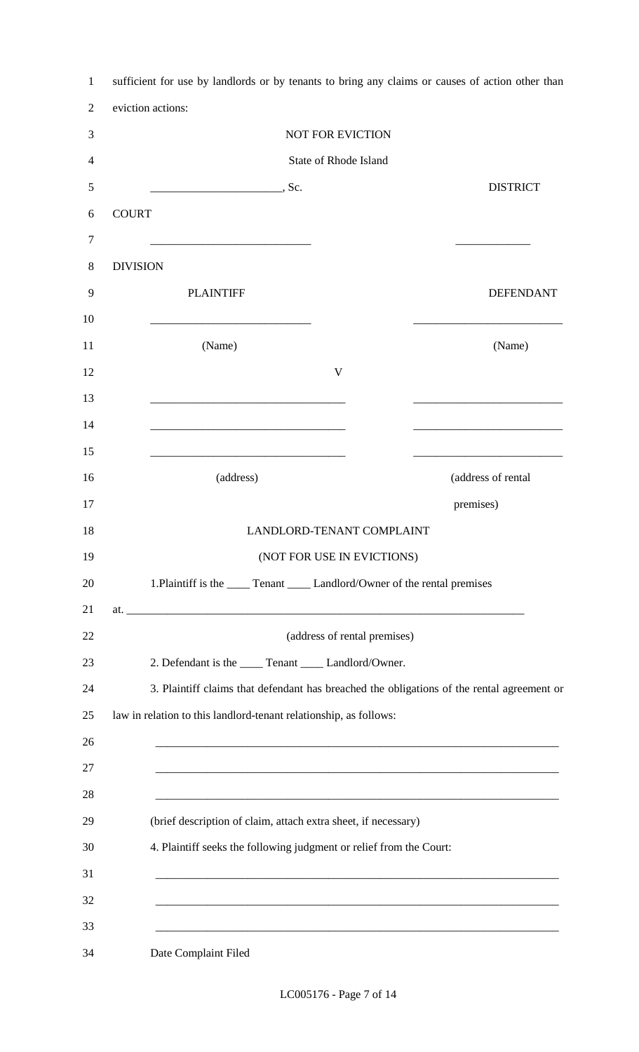|                 |                                                                                                                      | <b>NOT FOR EVICTION</b>                                                                                                 |                                                                                                                       |
|-----------------|----------------------------------------------------------------------------------------------------------------------|-------------------------------------------------------------------------------------------------------------------------|-----------------------------------------------------------------------------------------------------------------------|
|                 |                                                                                                                      | State of Rhode Island                                                                                                   |                                                                                                                       |
|                 | $\overline{\phantom{a}}$ , Sc.                                                                                       |                                                                                                                         | <b>DISTRICT</b>                                                                                                       |
| <b>COURT</b>    |                                                                                                                      |                                                                                                                         |                                                                                                                       |
|                 | <u> 1989 - Johann Barbara, martin amerikan basar dan berasal dalam basa dalam basar dalam basar dalam basa dalam</u> |                                                                                                                         |                                                                                                                       |
| <b>DIVISION</b> |                                                                                                                      |                                                                                                                         |                                                                                                                       |
|                 | <b>PLAINTIFF</b>                                                                                                     |                                                                                                                         | <b>DEFENDANT</b>                                                                                                      |
|                 |                                                                                                                      |                                                                                                                         |                                                                                                                       |
|                 | (Name)                                                                                                               |                                                                                                                         | (Name)                                                                                                                |
|                 |                                                                                                                      | $\mathbf{V}$                                                                                                            |                                                                                                                       |
|                 |                                                                                                                      |                                                                                                                         |                                                                                                                       |
|                 |                                                                                                                      |                                                                                                                         |                                                                                                                       |
|                 | <u> 1989 - Johann John Stone, mars eta biztanleria (h. 1989).</u><br>(address)                                       |                                                                                                                         | (address of rental                                                                                                    |
|                 |                                                                                                                      |                                                                                                                         | premises)                                                                                                             |
|                 |                                                                                                                      | LANDLORD-TENANT COMPLAINT                                                                                               |                                                                                                                       |
|                 |                                                                                                                      | (NOT FOR USE IN EVICTIONS)                                                                                              |                                                                                                                       |
|                 | 1. Plaintiff is the _____ Tenant _____ Landlord/Owner of the rental premises                                         |                                                                                                                         |                                                                                                                       |
|                 |                                                                                                                      |                                                                                                                         |                                                                                                                       |
|                 |                                                                                                                      | (address of rental premises)                                                                                            |                                                                                                                       |
|                 | 2. Defendant is the _____ Tenant _____ Landlord/Owner.                                                               |                                                                                                                         |                                                                                                                       |
|                 |                                                                                                                      |                                                                                                                         | 3. Plaintiff claims that defendant has breached the obligations of the rental agreement or                            |
|                 | law in relation to this landlord-tenant relationship, as follows:                                                    |                                                                                                                         |                                                                                                                       |
|                 |                                                                                                                      | <u> 1989 - Johann John Stoff, deutscher Stoff aus der Stoff aus der Stoff aus der Stoff aus der Stoff aus der Stoff</u> |                                                                                                                       |
|                 |                                                                                                                      |                                                                                                                         | <u> 1989 - Johann Stoff, deutscher Stoff, der Stoff, der Stoff, der Stoff, der Stoff, der Stoff, der Stoff, der S</u> |
|                 |                                                                                                                      |                                                                                                                         |                                                                                                                       |
|                 | (brief description of claim, attach extra sheet, if necessary)                                                       |                                                                                                                         |                                                                                                                       |
|                 | 4. Plaintiff seeks the following judgment or relief from the Court:                                                  |                                                                                                                         |                                                                                                                       |
|                 |                                                                                                                      |                                                                                                                         | <u> 1989 - Johann Stoff, deutscher Stoff, der Stoff, der Stoff, der Stoff, der Stoff, der Stoff, der Stoff, der S</u> |
|                 |                                                                                                                      |                                                                                                                         |                                                                                                                       |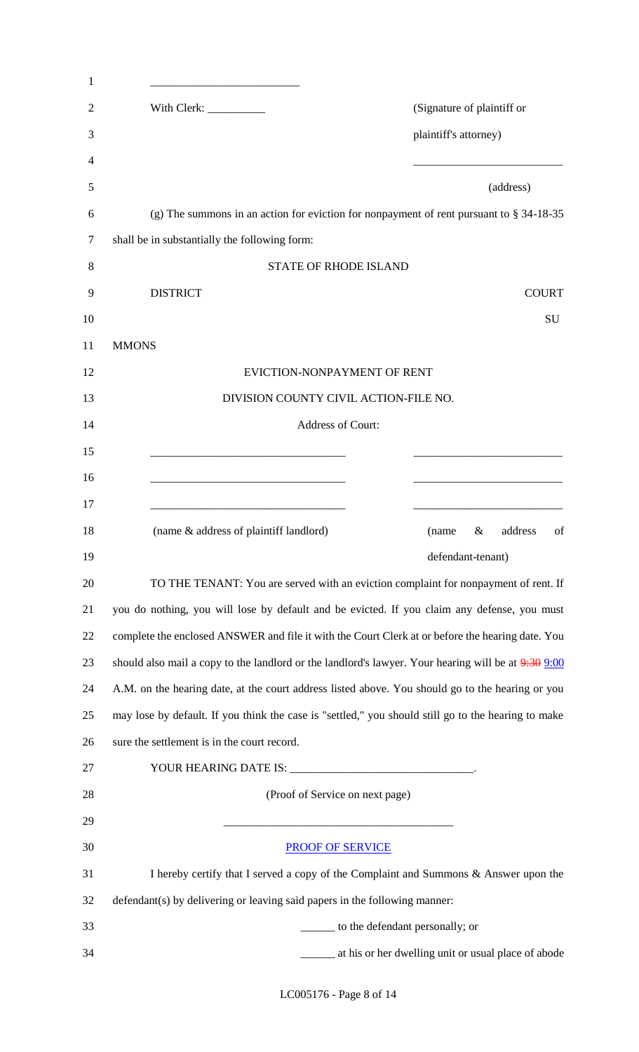| 1      |                                                                                                                       |
|--------|-----------------------------------------------------------------------------------------------------------------------|
| 2      | With Clerk: ___________<br>(Signature of plaintiff or                                                                 |
| 3      | plaintiff's attorney)                                                                                                 |
| 4      |                                                                                                                       |
| 5      | (address)                                                                                                             |
| 6      | (g) The summons in an action for eviction for nonpayment of rent pursuant to $\S 34-18-35$                            |
| $\tau$ | shall be in substantially the following form:                                                                         |
| 8      | <b>STATE OF RHODE ISLAND</b>                                                                                          |
| 9      | <b>DISTRICT</b><br><b>COURT</b>                                                                                       |
| 10     | SU                                                                                                                    |
| 11     | <b>MMONS</b>                                                                                                          |
| 12     | EVICTION-NONPAYMENT OF RENT                                                                                           |
| 13     | DIVISION COUNTY CIVIL ACTION-FILE NO.                                                                                 |
| 14     | Address of Court:                                                                                                     |
| 15     | <u> 1980 - Johann Barbara, martin amerikan basar dan berasal dalam basar dalam basar dalam basar dalam basar dala</u> |
| 16     |                                                                                                                       |
| 17     |                                                                                                                       |
| 18     | (name & address of plaintiff landlord)<br>address<br>$\&$<br>of<br>(name                                              |
| 19     | defendant-tenant)                                                                                                     |
| 20     | TO THE TENANT: You are served with an eviction complaint for nonpayment of rent. If                                   |
| 21     | you do nothing, you will lose by default and be evicted. If you claim any defense, you must                           |
| 22     | complete the enclosed ANSWER and file it with the Court Clerk at or before the hearing date. You                      |
| 23     | should also mail a copy to the landlord or the landlord's lawyer. Your hearing will be at 9:30 9:00                   |
| 24     | A.M. on the hearing date, at the court address listed above. You should go to the hearing or you                      |
| 25     | may lose by default. If you think the case is "settled," you should still go to the hearing to make                   |
| 26     | sure the settlement is in the court record.                                                                           |
| 27     |                                                                                                                       |
| 28     | (Proof of Service on next page)                                                                                       |
| 29     |                                                                                                                       |
| 30     | <b>PROOF OF SERVICE</b>                                                                                               |
| 31     | I hereby certify that I served a copy of the Complaint and Summons & Answer upon the                                  |
| 32     | defendant(s) by delivering or leaving said papers in the following manner:                                            |
| 33     | to the defendant personally; or                                                                                       |
| 34     | ______ at his or her dwelling unit or usual place of abode                                                            |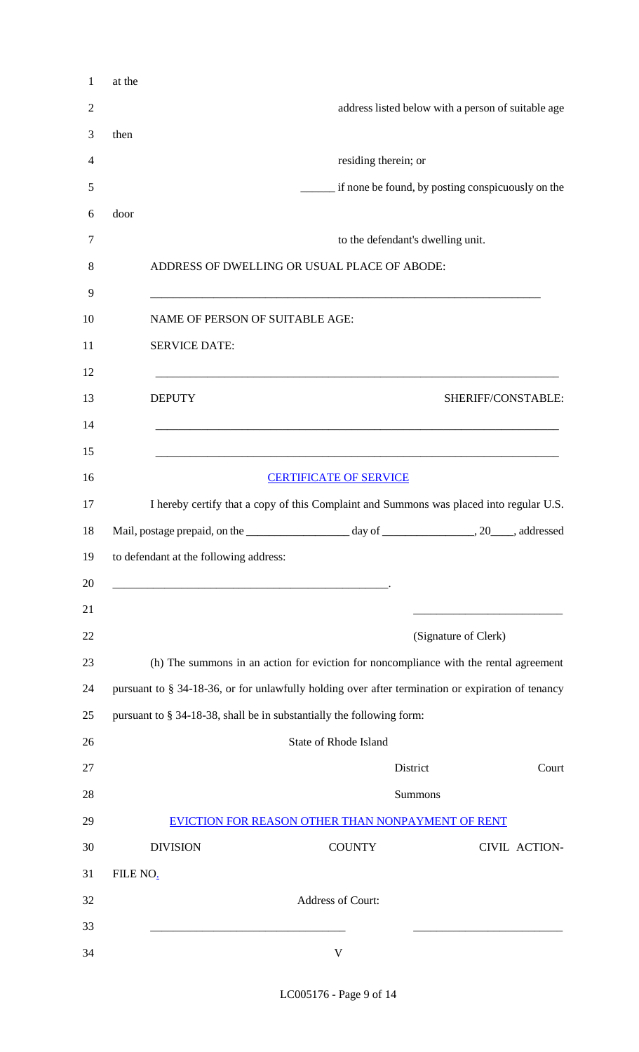|          |                                                                                                                       | address listed below with a person of suitable age                                                                       |                        |
|----------|-----------------------------------------------------------------------------------------------------------------------|--------------------------------------------------------------------------------------------------------------------------|------------------------|
| then     |                                                                                                                       |                                                                                                                          |                        |
|          |                                                                                                                       | residing therein; or                                                                                                     |                        |
|          |                                                                                                                       | if none be found, by posting conspicuously on the                                                                        |                        |
| door     |                                                                                                                       |                                                                                                                          |                        |
|          |                                                                                                                       | to the defendant's dwelling unit.                                                                                        |                        |
|          |                                                                                                                       | ADDRESS OF DWELLING OR USUAL PLACE OF ABODE:                                                                             |                        |
|          | NAME OF PERSON OF SUITABLE AGE:                                                                                       |                                                                                                                          |                        |
|          | <b>SERVICE DATE:</b>                                                                                                  |                                                                                                                          |                        |
|          | <b>DEPUTY</b>                                                                                                         | <u> 1989 - Johann Harry Harry Harry Harry Harry Harry Harry Harry Harry Harry Harry Harry Harry Harry Harry Harry</u>    | SHERIFF/CONSTABLE:     |
|          |                                                                                                                       | <b>CERTIFICATE OF SERVICE</b><br>I hereby certify that a copy of this Complaint and Summons was placed into regular U.S. |                        |
|          | to defendant at the following address:                                                                                |                                                                                                                          |                        |
|          | <u> 1989 - Johann Harry Harry Harry Harry Harry Harry Harry Harry Harry Harry Harry Harry Harry Harry Harry Harry</u> | (Signature of Clerk)                                                                                                     |                        |
|          |                                                                                                                       | (h) The summons in an action for eviction for noncompliance with the rental agreement                                    |                        |
|          |                                                                                                                       | pursuant to § 34-18-36, or for unlawfully holding over after termination or expiration of tenancy                        |                        |
|          |                                                                                                                       | pursuant to § 34-18-38, shall be in substantially the following form:                                                    |                        |
|          |                                                                                                                       | <b>State of Rhode Island</b>                                                                                             |                        |
|          |                                                                                                                       | District                                                                                                                 |                        |
|          |                                                                                                                       | Summons                                                                                                                  |                        |
|          |                                                                                                                       | EVICTION FOR REASON OTHER THAN NONPAYMENT OF RENT                                                                        |                        |
|          | <b>DIVISION</b>                                                                                                       | <b>COUNTY</b>                                                                                                            |                        |
|          |                                                                                                                       |                                                                                                                          | Court<br>CIVIL ACTION- |
|          |                                                                                                                       | Address of Court:                                                                                                        |                        |
| FILE NO. |                                                                                                                       |                                                                                                                          |                        |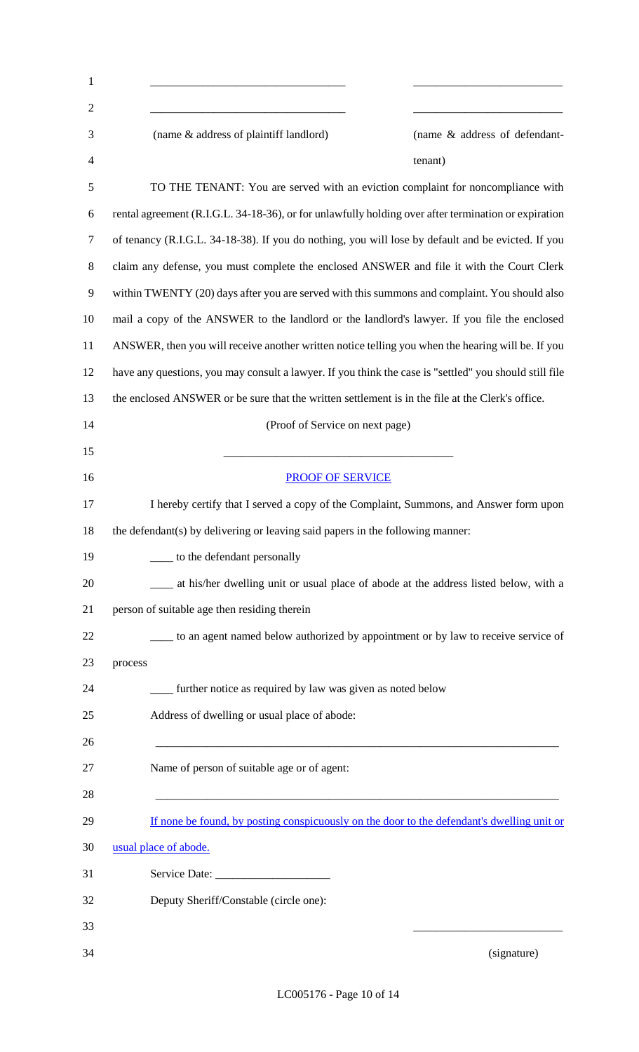| $\mathbf{1}$   |                                                                                                        |
|----------------|--------------------------------------------------------------------------------------------------------|
| $\overline{2}$ |                                                                                                        |
| 3<br>4         | (name & address of plaintiff landlord)<br>(name & address of defendant-                                |
|                | tenant)                                                                                                |
| 5              | TO THE TENANT: You are served with an eviction complaint for noncompliance with                        |
| 6              | rental agreement (R.I.G.L. 34-18-36), or for unlawfully holding over after termination or expiration   |
| 7              | of tenancy (R.I.G.L. 34-18-38). If you do nothing, you will lose by default and be evicted. If you     |
| 8              | claim any defense, you must complete the enclosed ANSWER and file it with the Court Clerk              |
| 9              | within TWENTY (20) days after you are served with this summons and complaint. You should also          |
| 10             | mail a copy of the ANSWER to the landlord or the landlord's lawyer. If you file the enclosed           |
| 11             | ANSWER, then you will receive another written notice telling you when the hearing will be. If you      |
| 12             | have any questions, you may consult a lawyer. If you think the case is "settled" you should still file |
| 13             | the enclosed ANSWER or be sure that the written settlement is in the file at the Clerk's office.       |
| 14             | (Proof of Service on next page)                                                                        |
| 15             |                                                                                                        |
| 16             | <b>PROOF OF SERVICE</b>                                                                                |
| 17             | I hereby certify that I served a copy of the Complaint, Summons, and Answer form upon                  |
| 18             | the defendant(s) by delivering or leaving said papers in the following manner:                         |
| 19             | __ to the defendant personally                                                                         |
| 20             | at his/her dwelling unit or usual place of abode at the address listed below, with a                   |
| 21             | person of suitable age then residing therein                                                           |
| 22             | to an agent named below authorized by appointment or by law to receive service of                      |
| 23             | process                                                                                                |
| 24             | __ further notice as required by law was given as noted below                                          |
| 25             | Address of dwelling or usual place of abode:                                                           |
| 26             |                                                                                                        |
| 27             | Name of person of suitable age or of agent:                                                            |
| 28             |                                                                                                        |
| 29             | If none be found, by posting conspicuously on the door to the defendant's dwelling unit or             |
| 30             | usual place of abode.                                                                                  |
| 31             |                                                                                                        |
| 32             | Deputy Sheriff/Constable (circle one):                                                                 |
| 33             |                                                                                                        |
|                |                                                                                                        |
| 34             | (signature)                                                                                            |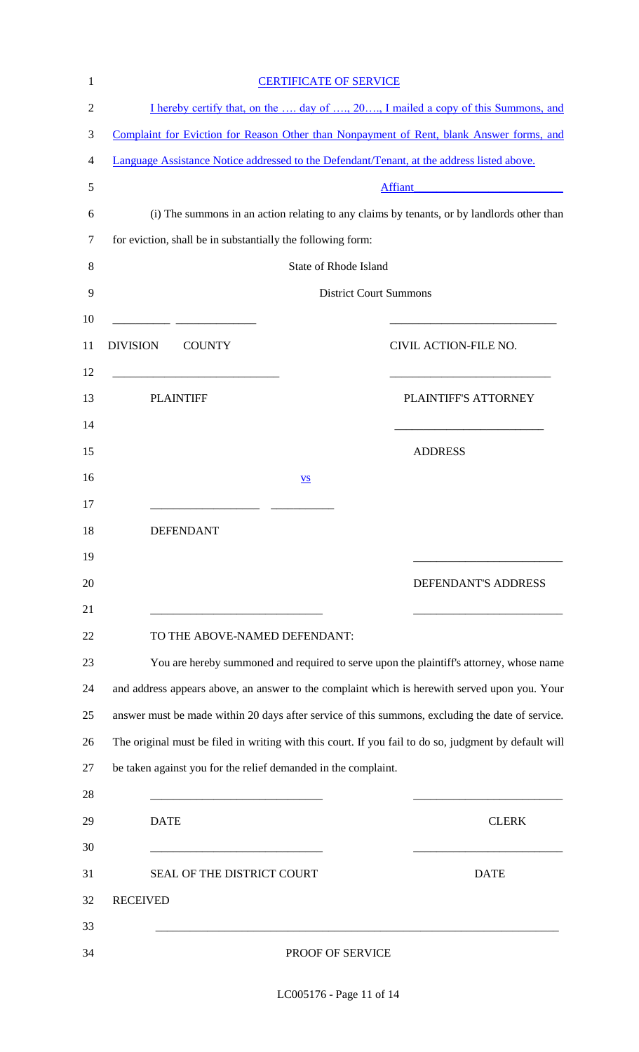|                                                                | <b>CERTIFICATE OF SERVICE</b> |                                                                                                                                                                                                           |
|----------------------------------------------------------------|-------------------------------|-----------------------------------------------------------------------------------------------------------------------------------------------------------------------------------------------------------|
|                                                                |                               | I hereby certify that, on the  day of , 20, I mailed a copy of this Summons, and                                                                                                                          |
|                                                                |                               | Complaint for Eviction for Reason Other than Nonpayment of Rent, blank Answer forms, and                                                                                                                  |
|                                                                |                               | Language Assistance Notice addressed to the Defendant/Tenant, at the address listed above.                                                                                                                |
|                                                                |                               | Affiant<br><u> 1988 - Johann John Stein, mars and de British and de British and de British and de British and de British an</u>                                                                           |
|                                                                |                               | (i) The summons in an action relating to any claims by tenants, or by landlords other than                                                                                                                |
| for eviction, shall be in substantially the following form:    |                               |                                                                                                                                                                                                           |
|                                                                | <b>State of Rhode Island</b>  |                                                                                                                                                                                                           |
|                                                                |                               | <b>District Court Summons</b>                                                                                                                                                                             |
|                                                                |                               |                                                                                                                                                                                                           |
| <b>DIVISION</b><br><b>COUNTY</b>                               |                               | CIVIL ACTION-FILE NO.                                                                                                                                                                                     |
| <u> 1980 - Johann Barn, mars eta bat eta bat e</u>             |                               |                                                                                                                                                                                                           |
| <b>PLAINTIFF</b>                                               |                               | PLAINTIFF'S ATTORNEY                                                                                                                                                                                      |
|                                                                |                               |                                                                                                                                                                                                           |
|                                                                |                               | <b>ADDRESS</b>                                                                                                                                                                                            |
|                                                                | $\underline{\mathbf{VS}}$     |                                                                                                                                                                                                           |
|                                                                |                               |                                                                                                                                                                                                           |
| <b>DEFENDANT</b>                                               |                               |                                                                                                                                                                                                           |
|                                                                |                               |                                                                                                                                                                                                           |
|                                                                |                               | DEFENDANT'S ADDRESS                                                                                                                                                                                       |
| <u> 1989 - Johann Barbara, margaret eta idazlea (h. 1989).</u> |                               |                                                                                                                                                                                                           |
| TO THE ABOVE-NAMED DEFENDANT:                                  |                               |                                                                                                                                                                                                           |
|                                                                |                               | You are hereby summoned and required to serve upon the plaintiff's attorney, whose name                                                                                                                   |
|                                                                |                               | and address appears above, an answer to the complaint which is herewith served upon you. Your                                                                                                             |
|                                                                |                               | answer must be made within 20 days after service of this summons, excluding the date of service.<br>The original must be filed in writing with this court. If you fail to do so, judgment by default will |
| be taken against you for the relief demanded in the complaint. |                               |                                                                                                                                                                                                           |
|                                                                |                               |                                                                                                                                                                                                           |
| <b>DATE</b>                                                    |                               | <b>CLERK</b>                                                                                                                                                                                              |
|                                                                |                               |                                                                                                                                                                                                           |
| SEAL OF THE DISTRICT COURT                                     |                               | <b>DATE</b>                                                                                                                                                                                               |
| <b>RECEIVED</b>                                                |                               |                                                                                                                                                                                                           |
|                                                                |                               |                                                                                                                                                                                                           |
|                                                                | PROOF OF SERVICE              |                                                                                                                                                                                                           |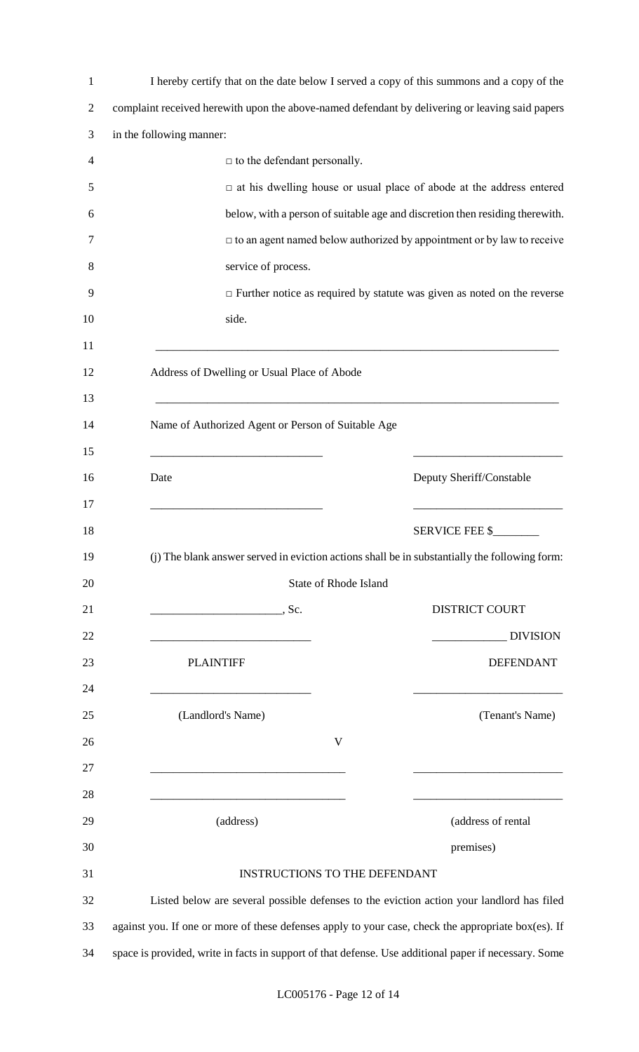| 1              | I hereby certify that on the date below I served a copy of this summons and a copy of the                                                                                                                                            |                                                                                |  |
|----------------|--------------------------------------------------------------------------------------------------------------------------------------------------------------------------------------------------------------------------------------|--------------------------------------------------------------------------------|--|
| $\overline{2}$ | complaint received herewith upon the above-named defendant by delivering or leaving said papers                                                                                                                                      |                                                                                |  |
| 3              | in the following manner:                                                                                                                                                                                                             |                                                                                |  |
| $\overline{4}$ | $\Box$ to the defendant personally.                                                                                                                                                                                                  |                                                                                |  |
| 5              |                                                                                                                                                                                                                                      | $\Box$ at his dwelling house or usual place of abode at the address entered    |  |
| 6              | below, with a person of suitable age and discretion then residing therewith.                                                                                                                                                         |                                                                                |  |
| 7              |                                                                                                                                                                                                                                      | $\Box$ to an agent named below authorized by appointment or by law to receive  |  |
| 8              | service of process.                                                                                                                                                                                                                  |                                                                                |  |
| 9              | $\Box$ Further notice as required by statute was given as noted on the reverse                                                                                                                                                       |                                                                                |  |
| 10             | side.                                                                                                                                                                                                                                |                                                                                |  |
| 11             |                                                                                                                                                                                                                                      |                                                                                |  |
| 12             | Address of Dwelling or Usual Place of Abode                                                                                                                                                                                          |                                                                                |  |
| 13             |                                                                                                                                                                                                                                      |                                                                                |  |
| 14             | Name of Authorized Agent or Person of Suitable Age                                                                                                                                                                                   |                                                                                |  |
| 15             |                                                                                                                                                                                                                                      |                                                                                |  |
| 16             | Date                                                                                                                                                                                                                                 | Deputy Sheriff/Constable                                                       |  |
| 17             |                                                                                                                                                                                                                                      |                                                                                |  |
| 18             |                                                                                                                                                                                                                                      | <b>SERVICE FEE \$_</b>                                                         |  |
| 19             | (j) The blank answer served in eviction actions shall be in substantially the following form:                                                                                                                                        |                                                                                |  |
| 20             | <b>State of Rhode Island</b>                                                                                                                                                                                                         |                                                                                |  |
| 21             | <u>2008 - Stern Stern Stern Stern Stern Stern Stern Stern Stern Stern Stern Stern Stern Stern Stern Stern Stern Stern Stern Stern Stern Stern Stern Stern Stern Stern Stern Stern Stern Stern Stern Stern Stern Stern Stern Ster</u> | <b>DISTRICT COURT</b>                                                          |  |
| 22             |                                                                                                                                                                                                                                      | <b>DIVISION</b>                                                                |  |
| 23             | <b>PLAINTIFF</b>                                                                                                                                                                                                                     | <b>DEFENDANT</b>                                                               |  |
| 24             |                                                                                                                                                                                                                                      |                                                                                |  |
| 25             | (Landlord's Name)                                                                                                                                                                                                                    | (Tenant's Name)                                                                |  |
| 26             | V                                                                                                                                                                                                                                    |                                                                                |  |
| 27             |                                                                                                                                                                                                                                      |                                                                                |  |
| 28<br>29       | (address)                                                                                                                                                                                                                            | <u> 1989 - Johann John Stone, mars eta biztanleria (</u><br>(address of rental |  |
| 30             |                                                                                                                                                                                                                                      |                                                                                |  |
| 31             |                                                                                                                                                                                                                                      | premises)                                                                      |  |
| 32             | <b>INSTRUCTIONS TO THE DEFENDANT</b><br>Listed below are several possible defenses to the eviction action your landlord has filed                                                                                                    |                                                                                |  |
|                |                                                                                                                                                                                                                                      |                                                                                |  |
| 33             | against you. If one or more of these defenses apply to your case, check the appropriate box(es). If                                                                                                                                  |                                                                                |  |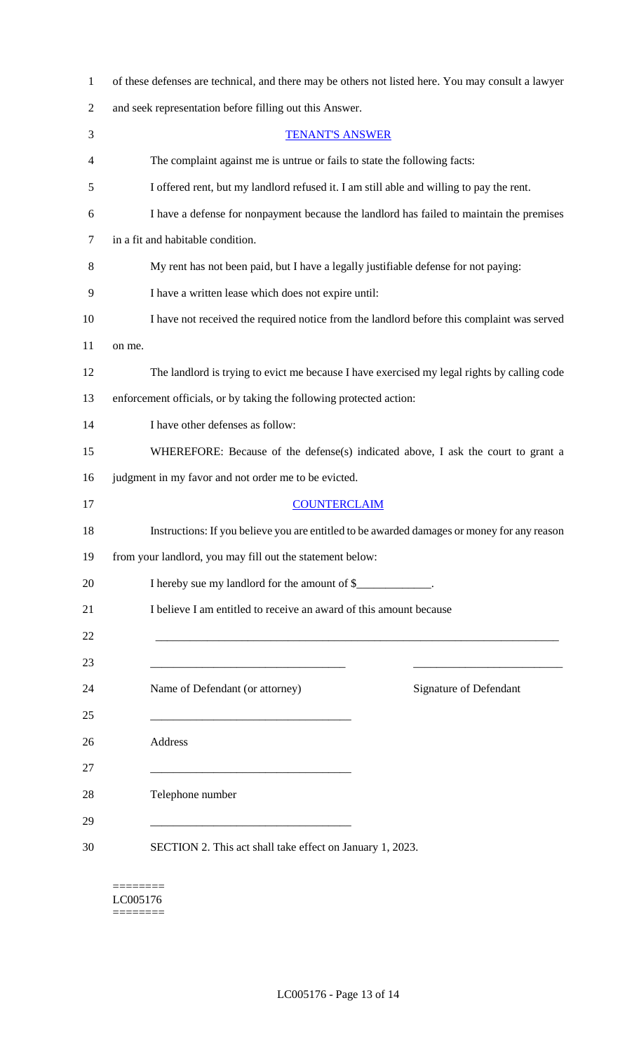| 1              | of these defenses are technical, and there may be others not listed here. You may consult a lawyer |  |  |
|----------------|----------------------------------------------------------------------------------------------------|--|--|
| $\overline{2}$ | and seek representation before filling out this Answer.                                            |  |  |
| 3              | <b>TENANT'S ANSWER</b>                                                                             |  |  |
| 4              | The complaint against me is untrue or fails to state the following facts:                          |  |  |
| 5              | I offered rent, but my landlord refused it. I am still able and willing to pay the rent.           |  |  |
| 6              | I have a defense for nonpayment because the landlord has failed to maintain the premises           |  |  |
| 7              | in a fit and habitable condition.                                                                  |  |  |
| 8              | My rent has not been paid, but I have a legally justifiable defense for not paying:                |  |  |
| 9              | I have a written lease which does not expire until:                                                |  |  |
| 10             | I have not received the required notice from the landlord before this complaint was served         |  |  |
| 11             | on me.                                                                                             |  |  |
| 12             | The landlord is trying to evict me because I have exercised my legal rights by calling code        |  |  |
| 13             | enforcement officials, or by taking the following protected action:                                |  |  |
| 14             | I have other defenses as follow:                                                                   |  |  |
| 15             | WHEREFORE: Because of the defense(s) indicated above, I ask the court to grant a                   |  |  |
| 16             | judgment in my favor and not order me to be evicted.                                               |  |  |
| 17             | <b>COUNTERCLAIM</b>                                                                                |  |  |
| 18             | Instructions: If you believe you are entitled to be awarded damages or money for any reason        |  |  |
| 19             | from your landlord, you may fill out the statement below:                                          |  |  |
| 20             | I hereby sue my landlord for the amount of \$                                                      |  |  |
| 21             | I believe I am entitled to receive an award of this amount because                                 |  |  |
| 22             | <u> 1989 - Johann Stoff, amerikansk politiker (d. 1989)</u>                                        |  |  |
| 23             |                                                                                                    |  |  |
| 24             | Signature of Defendant<br>Name of Defendant (or attorney)                                          |  |  |
| 25             |                                                                                                    |  |  |
| 26             | Address                                                                                            |  |  |
| 27             |                                                                                                    |  |  |
| 28             | Telephone number                                                                                   |  |  |
| 29             | <u> 1989 - Jan James James, margin eta idazleari (h. 1982).</u>                                    |  |  |
| 30             | SECTION 2. This act shall take effect on January 1, 2023.                                          |  |  |
|                |                                                                                                    |  |  |

======== LC005176  $\begin{minipage}{0.9\linewidth} \begin{tabular}{l} \hline \textbf{r} & \textbf{r} \\ \hline \textbf{r} & \textbf{r} \\ \hline \textbf{r} & \textbf{r} \\ \hline \textbf{r} & \textbf{r} \\ \hline \textbf{r} & \textbf{r} \\ \hline \textbf{r} & \textbf{r} \\ \hline \textbf{r} & \textbf{r} \\ \hline \textbf{r} & \textbf{r} \\ \hline \textbf{r} & \textbf{r} \\ \hline \textbf{r} & \textbf{r} \\ \hline \textbf{r} & \textbf{r} \\ \hline \textbf{r} & \text$